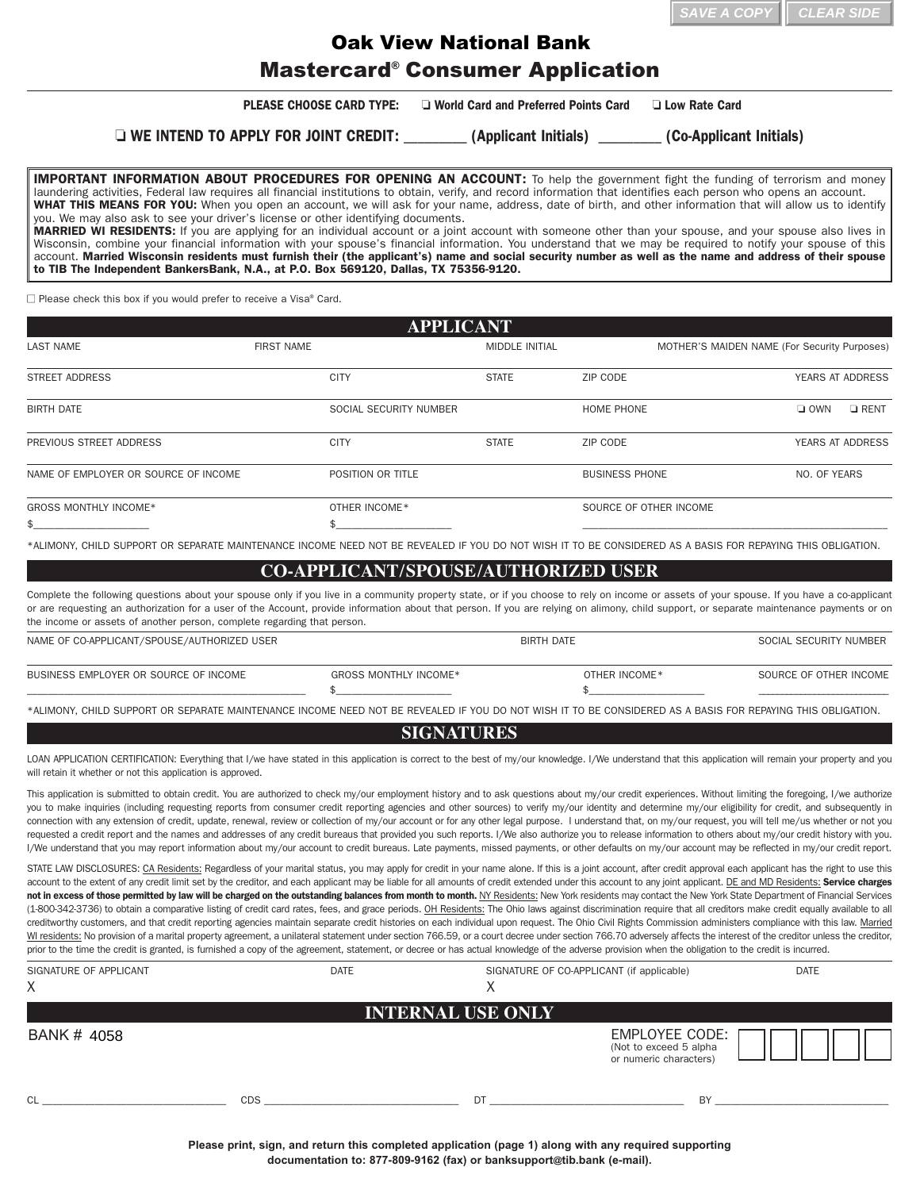## Mastercard® Consumer Application Oak View National Bank

**PLEASE CHOOSE CARD TYPE:**  $\Box$  World Card and Preferred Points Card  $\Box$  Low Rate Card

o **WE INTEND TO APPLY FOR JOINT CREDIT:** \_\_\_\_\_\_\_\_\_ **(Applicant Initials)** \_\_\_\_\_\_\_\_\_ **(Co-Applicant Initials)**

**IMPORTANT INFORMATION ABOUT PROCEDURES FOR OPENING AN ACCOUNT:** To help the government fight the funding of terrorism and money laundering activities, Federal law requires all financial institutions to obtain, verify, and record information that identifies each person who opens an account. **WHAT THIS MEANS FOR YOU:** When you open an account, we will ask for your name, address, date of birth, and other information that will allow us to identify you. We may also ask to see your driver's license or other identifying documents. **MARRIED WI RESIDENTS:** If you are applying for an individual account or a joint account with someone other than your spouse, and your spouse also lives in Wisconsin, combine your financial information with your spouse's financial information. You understand that we may be required to notify your spouse of this account. **Married Wisconsin residents must furnish their (the applicant's) name and social security number as well as the name and address of their spouse**

 $\Box$  Please check this box if you would prefer to receive a Visa® Card.

**to TIB The Independent BankersBank, N.A., at P.O. Box 569120, Dallas, TX 75356-9120.**

| <b>APPLICANT</b>                     |                   |                        |                        |                                              |
|--------------------------------------|-------------------|------------------------|------------------------|----------------------------------------------|
| <b>LAST NAME</b>                     | <b>FIRST NAME</b> | <b>MIDDLE INITIAL</b>  |                        | MOTHER'S MAIDEN NAME (For Security Purposes) |
| STREET ADDRESS                       | <b>CITY</b>       | <b>STATE</b>           | ZIP CODE               | YEARS AT ADDRESS                             |
| <b>BIRTH DATE</b>                    |                   | SOCIAL SECURITY NUMBER | HOME PHONE             | $\Box$ OWN<br>$\Box$ RENT                    |
| PREVIOUS STREET ADDRESS              | <b>CITY</b>       | <b>STATE</b>           | ZIP CODE               | <b>YEARS AT ADDRESS</b>                      |
| NAME OF EMPLOYER OR SOURCE OF INCOME | POSITION OR TITLE |                        | <b>BUSINESS PHONE</b>  | NO. OF YEARS                                 |
| <b>GROSS MONTHLY INCOME*</b>         | OTHER INCOME*     |                        | SOURCE OF OTHER INCOME |                                              |
| \$                                   |                   |                        |                        |                                              |

\*ALIMONY, CHILD SUPPORT OR SEPARATE MAINTENANCE INCOME NEED NOT BE REVEALED IF YOU DO NOT WISH IT TO BE CONSIDERED AS A BASIS FOR REPAYING THIS OBLIGATION.

## **CO-APPLICANT/SPOUSE/AUTHORIZED USER**

Complete the following questions about your spouse only if you live in a community property state, or if you choose to rely on income or assets of your spouse. If you have a co-applicant or are requesting an authorization for a user of the Account, provide information about that person. If you are relying on alimony, child support, or separate maintenance payments or on the income or assets of another person, complete regarding that person.

| NAME OF CO-APPLICANT/SPOUSE/AUTHORIZED USER |                       | <b>BIRTH DATE</b> | SOCIAL SECURITY NUMBER |
|---------------------------------------------|-----------------------|-------------------|------------------------|
| BUSINESS EMPLOYER OR SOURCE OF INCOME       | GROSS MONTHLY INCOME* | OTHER INCOME *    | SOURCE OF OTHER INCOME |

\*ALIMONY, CHILD SUPPORT OR SEPARATE MAINTENANCE INCOME NEED NOT BE REVEALED IF YOU DO NOT WISH IT TO BE CONSIDERED AS A BASIS FOR REPAYING THIS OBLIGATION.

## **SIGNATURES**

LOAN APPLICATION CERTIFICATION: Everything that I/we have stated in this application is correct to the best of my/our knowledge. I/We understand that this application will remain your property and you will retain it whether or not this application is approved.

This application is submitted to obtain credit. You are authorized to check my/our employment history and to ask questions about my/our credit experiences. Without limiting the foregoing, I/we authorize you to make inquiries (including requesting reports from consumer credit reporting agencies and other sources) to verify my/our identity and determine my/our eligibility for credit, and subsequently in connection with any extension of credit, update, renewal, review or collection of my/our account or for any other legal purpose. I understand that, on my/our request, you will tell me/us whether or not you requested a credit report and the names and addresses of any credit bureaus that provided you such reports. I/We also authorize you to release information to others about my/our credit history with you. I/We understand that you may report information about my/our account to credit bureaus. Late payments, missed payments, or other defaults on my/our account may be reflected in my/our credit report.

STATE LAW DISCLOSURES: CA Residents: Regardless of your marital status, you may apply for credit in your name alone. If this is a joint account, after credit approval each applicant has the right to use this account to the extent of any credit limit set by the creditor, and each applicant may be liable for all amounts of credit extended under this account to any joint applicant. DE and MD Residents: Service charges not in excess of those permitted by law will be charged on the outstanding balances from month to month. NY Residents: New York residents may contact the New York State Department of Financial Services (1-800-342-3736) to obtain a comparative listing of credit card rates, fees, and grace periods. OH Residents: The Ohio laws against discrimination require that all creditors make credit equally available to all creditworthy customers, and that credit reporting agencies maintain separate credit histories on each individual upon request. The Ohio Civil Rights Commission administers compliance with this law. Married WI residents: No provision of a marital property agreement, a unilateral statement under section 766.59, or a court decree under section 766.70 adversely affects the interest of the creditor unless the creditor, prior to the time the credit is granted, is furnished a copy of the agreement, statement, or decree or has actual knowledge of the adverse provision when the obligation to the credit is incurred.

| SIGNATURE OF APPLICANT<br>X | <b>DATE</b> | SIGNATURE OF CO-APPLICANT (if applicable)<br>∧ | <b>DATE</b>                                                               |
|-----------------------------|-------------|------------------------------------------------|---------------------------------------------------------------------------|
|                             |             | <b>INTERNAL USE ONLY</b>                       |                                                                           |
| BANK # 4058                 |             |                                                | <b>EMPLOYEE CODE:</b><br>(Not to exceed 5 alpha<br>or numeric characters) |
| CL                          | <b>CDS</b>  | DT                                             | BY                                                                        |

**Please print, sign, and return this completed application (page 1) along with any required supporting documentation to: 877-809-9162 (fax) or banksupport@tib.bank (e-mail).**